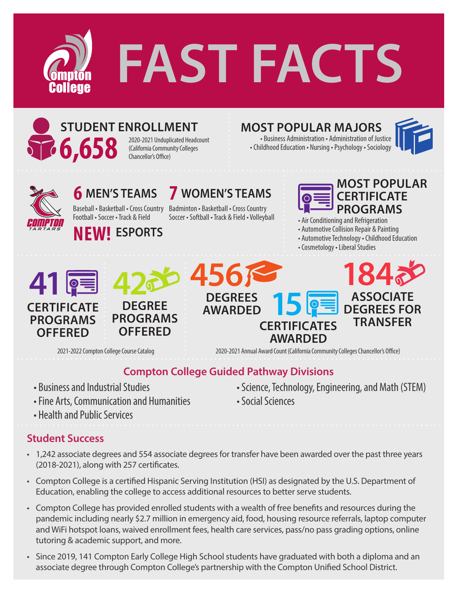



### **STUDENT ENROLLMENT** (California Community Colleges

2020-2021 Unduplicated Headcount Chancellor's Office)

## **MOST POPULAR MAJORS**

• Business Administration • Administration of Justice • Childhood Education • Nursing • Psychology • Sociology





# **6 MEN'S TEAMS**

Football • Soccer • Track & Field

**NEW! ESPORTS**



Baseball • Basketball • Cross Country Badminton • Basketball • Cross Country Soccer • Softball • Track & Field • Volleyball



• Air Conditioning and Refrigeration

• Automotive Collision Repair & Painting

• Automotive Technology • Childhood Education

• Cosmetology • Liberal Studies



2021-2022 Compton College Course Catalog 2020-2021 Annual Award Count (California Community Colleges Chancellor's Office)

### **Compton College Guided Pathway Divisions**

- Business and Industrial Studies
- Fine Arts, Communication and Humanities
- Health and Public Services

#### **Student Success**

- 1,242 associate degrees and 554 associate degrees for transfer have been awarded over the past three years (2018-2021), along with 257 certificates.
- Compton College is a certified Hispanic Serving Institution (HSI) as designated by the U.S. Department of Education, enabling the college to access additional resources to better serve students.
- Compton College has provided enrolled students with a wealth of free benefits and resources during the pandemic including nearly \$2.7 million in emergency aid, food, housing resource referrals, laptop computer and WiFi hotspot loans, waived enrollment fees, health care services, pass/no pass grading options, online tutoring & academic support, and more.
- Since 2019, 141 Compton Early College High School students have graduated with both a diploma and an associate degree through Compton College's partnership with the Compton Unified School District.

• Science, Technology, Engineering, and Math (STEM) • Social Sciences